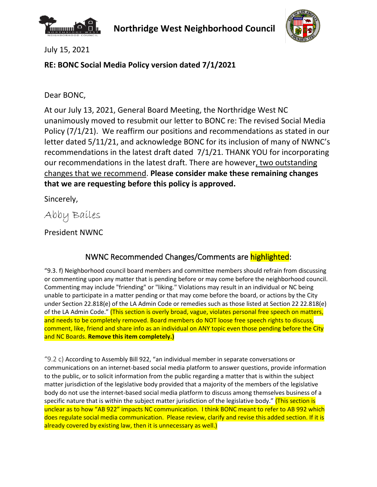



July 15, 2021

## **RE: BONC Social Media Policy version dated 7/1/2021**

Dear BONC,

At our July 13, 2021, General Board Meeting, the Northridge West NC unanimously moved to resubmit our letter to BONC re: The revised Social Media Policy (7/1/21). We reaffirm our positions and recommendations as stated in our letter dated 5/11/21, and acknowledge BONC for its inclusion of many of NWNC's recommendations in the latest draft dated 7/1/21. THANK YOU for incorporating our recommendations in the latest draft. There are however, two outstanding changes that we recommend. **Please consider make these remaining changes that we are requesting before this policy is approved.**

Sincerely,

Abby Bailes

President NWNC

## NWNC Recommended Changes/Comments are highlighted:

"9.3. f) Neighborhood council board members and committee members should refrain from discussing or commenting upon any matter that is pending before or may come before the neighborhood council. Commenting may include "friending" or "liking." Violations may result in an individual or NC being unable to participate in a matter pending or that may come before the board, or actions by the City under Section 22.818(e) of the LA Admin Code or remedies such as those listed at Section 22 22.818(e) of the LA Admin Code." (This section is overly broad, vague, violates personal free speech on matters, and needs to be completely removed. Board members do NOT loose free speech rights to discuss, comment, like, friend and share info as an individual on ANY topic even those pending before the City and NC Boards. **Remove this item completely.)**

"9.2 c) According to Assembly Bill 922, "an individual member in separate conversations or communications on an internet-based social media platform to answer questions, provide information to the public, or to solicit information from the public regarding a matter that is within the subject matter jurisdiction of the legislative body provided that a majority of the members of the legislative body do not use the internet-based social media platform to discuss among themselves business of a specific nature that is within the subject matter jurisdiction of the legislative body." (This section is unclear as to how "AB 922" impacts NC communication. I think BONC meant to refer to AB 992 which does regulate social media communication. Please review, clarify and revise this added section. If it is already covered by existing law, then it is unnecessary as well.)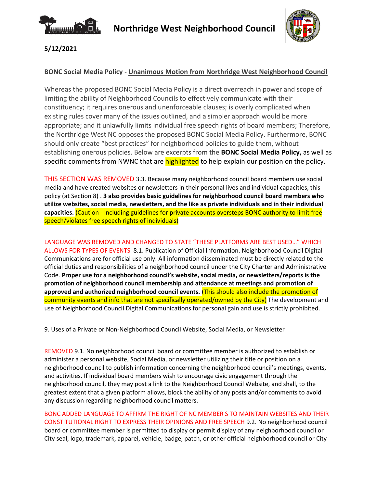



### **5/12/2021**

#### **BONC Social Media Policy - Unanimous Motion from Northridge West Neighborhood Council**

Whereas the proposed BONC Social Media Policy is a direct overreach in power and scope of limiting the ability of Neighborhood Councils to effectively communicate with their constituency; it requires onerous and unenforceable clauses; is overly complicated when existing rules cover many of the issues outlined, and a simpler approach would be more appropriate; and it unlawfully limits individual free speech rights of board members; Therefore, the Northridge West NC opposes the proposed BONC Social Media Policy. Furthermore, BONC should only create "best practices" for neighborhood policies to guide them, without establishing onerous policies. Below are excerpts from the **BONC Social Media Policy,** as well as specific comments from NWNC that are **highlighted** to help explain our position on the policy.

THIS SECTION WAS REMOVED 3.3. Because many neighborhood council board members use social media and have created websites or newsletters in their personal lives and individual capacities, this policy (at Section 8) . **3 also provides basic guidelines for neighborhood council board members who utilize websites, social media, newsletters, and the like as private individuals and in their individual capacities.** (Caution - Including guidelines for private accounts oversteps BONC authority to limit free speech/violates free speech rights of individuals)

LANGUAGE WAS REMOVED AND CHANGED TO STATE "THESE PLATFORMS ARE BEST USED…" WHICH ALLOWS FOR TYPES OF EVENTS 8.1. Publication of Official Information. Neighborhood Council Digital Communications are for official use only. All information disseminated must be directly related to the official duties and responsibilities of a neighborhood council under the City Charter and Administrative Code. **Proper use for a neighborhood council's website, social media, or newsletters/reports is the promotion of neighborhood council membership and attendance at meetings and promotion of approved and authorized neighborhood council events.** (This should also include the promotion of community events and info that are not specifically operated/owned by the City) The development and use of Neighborhood Council Digital Communications for personal gain and use is strictly prohibited.

9. Uses of a Private or Non-Neighborhood Council Website, Social Media, or Newsletter

REMOVED 9.1. No neighborhood council board or committee member is authorized to establish or administer a personal website, Social Media, or newsletter utilizing their title or position on a neighborhood council to publish information concerning the neighborhood council's meetings, events, and activities. If individual board members wish to encourage civic engagement through the neighborhood council, they may post a link to the Neighborhood Council Website, and shall, to the greatest extent that a given platform allows, block the ability of any posts and/or comments to avoid any discussion regarding neighborhood council matters.

BONC ADDED LANGUAGE TO AFFIRM THE RIGHT OF NC MEMBER S TO MAINTAIN WEBSITES AND THEIR CONSTITUTIONAL RIGHT TO EXPRESS THEIR OPINIONS AND FREE SPEECH 9.2. No neighborhood council board or committee member is permitted to display or permit display of any neighborhood council or City seal, logo, trademark, apparel, vehicle, badge, patch, or other official neighborhood council or City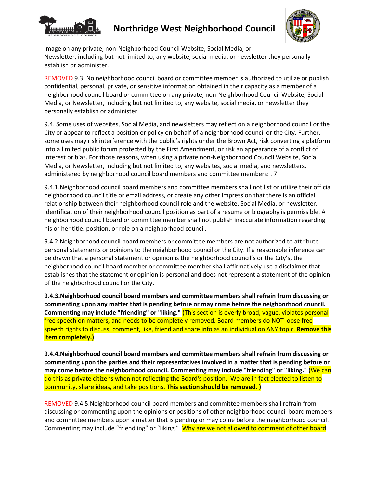

# **Northridge West Neighborhood Council**



image on any private, non-Neighborhood Council Website, Social Media, or Newsletter, including but not limited to, any website, social media, or newsletter they personally establish or administer.

REMOVED 9.3. No neighborhood council board or committee member is authorized to utilize or publish confidential, personal, private, or sensitive information obtained in their capacity as a member of a neighborhood council board or committee on any private, non-Neighborhood Council Website, Social Media, or Newsletter, including but not limited to, any website, social media, or newsletter they personally establish or administer.

9.4. Some uses of websites, Social Media, and newsletters may reflect on a neighborhood council or the City or appear to reflect a position or policy on behalf of a neighborhood council or the City. Further, some uses may risk interference with the public's rights under the Brown Act, risk converting a platform into a limited public forum protected by the First Amendment, or risk an appearance of a conflict of interest or bias. For those reasons, when using a private non-Neighborhood Council Website, Social Media, or Newsletter, including but not limited to, any websites, social media, and newsletters, administered by neighborhood council board members and committee members: . 7

9.4.1.Neighborhood council board members and committee members shall not list or utilize their official neighborhood council title or email address, or create any other impression that there is an official relationship between their neighborhood council role and the website, Social Media, or newsletter. Identification of their neighborhood council position as part of a resume or biography is permissible. A neighborhood council board or committee member shall not publish inaccurate information regarding his or her title, position, or role on a neighborhood council.

9.4.2.Neighborhood council board members or committee members are not authorized to attribute personal statements or opinions to the neighborhood council or the City. If a reasonable inference can be drawn that a personal statement or opinion is the neighborhood council's or the City's, the neighborhood council board member or committee member shall affirmatively use a disclaimer that establishes that the statement or opinion is personal and does not represent a statement of the opinion of the neighborhood council or the City.

**9.4.3.Neighborhood council board members and committee members shall refrain from discussing or commenting upon any matter that is pending before or may come before the neighborhood council. Commenting may include "friending" or "liking."** (This section is overly broad, vague, violates personal free speech on matters, and needs to be completely removed. Board members do NOT loose free speech rights to discuss, comment, like, friend and share info as an individual on ANY topic. **Remove this item completely.)**

**9.4.4.Neighborhood council board members and committee members shall refrain from discussing or commenting upon the parties and their representatives involved in a matter that is pending before or may come before the neighborhood council. Commenting may include "friending" or "liking."** (We can do this as private citizens when not reflecting the Board's position. We are in fact elected to listen to community, share ideas, and take positions. **This section should be removed. )**

REMOVED 9.4.5.Neighborhood council board members and committee members shall refrain from discussing or commenting upon the opinions or positions of other neighborhood council board members and committee members upon a matter that is pending or may come before the neighborhood council. Commenting may include "friendling" or "liking." Why are we not allowed to comment of other board